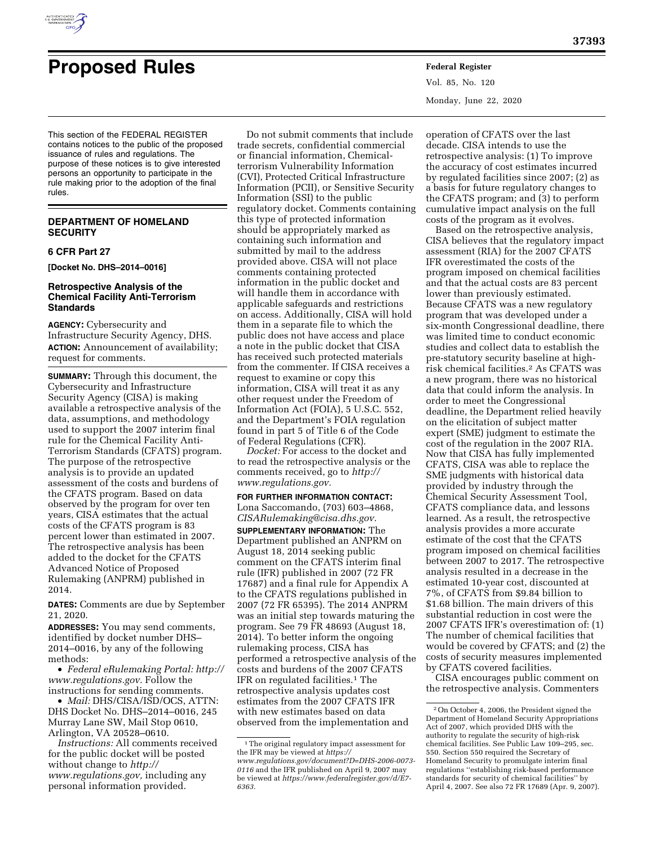

# **Proposed Rules Federal Register**

Vol. 85, No. 120 Monday, June 22, 2020

This section of the FEDERAL REGISTER contains notices to the public of the proposed issuance of rules and regulations. The purpose of these notices is to give interested persons an opportunity to participate in the rule making prior to the adoption of the final rules.

## **DEPARTMENT OF HOMELAND SECURITY**

## **6 CFR Part 27**

**[Docket No. DHS–2014–0016]** 

## **Retrospective Analysis of the Chemical Facility Anti-Terrorism Standards**

**AGENCY:** Cybersecurity and Infrastructure Security Agency, DHS. **ACTION:** Announcement of availability; request for comments.

**SUMMARY:** Through this document, the Cybersecurity and Infrastructure Security Agency (CISA) is making available a retrospective analysis of the data, assumptions, and methodology used to support the 2007 interim final rule for the Chemical Facility Anti-Terrorism Standards (CFATS) program. The purpose of the retrospective analysis is to provide an updated assessment of the costs and burdens of the CFATS program. Based on data observed by the program for over ten years, CISA estimates that the actual costs of the CFATS program is 83 percent lower than estimated in 2007. The retrospective analysis has been added to the docket for the CFATS Advanced Notice of Proposed Rulemaking (ANPRM) published in 2014.

**DATES:** Comments are due by September 21, 2020.

**ADDRESSES:** You may send comments, identified by docket number DHS– 2014–0016, by any of the following methods:

• *Federal eRulemaking Portal: [http://](http://www.regulations.gov)  [www.regulations.gov.](http://www.regulations.gov)* Follow the instructions for sending comments.

• *Mail:* DHS/CISA/ISD/OCS, ATTN: DHS Docket No. DHS–2014–0016, 245 Murray Lane SW, Mail Stop 0610, Arlington, VA 20528–0610.

*Instructions:* All comments received for the public docket will be posted without change to *[http://](http://www.regulations.gov) [www.regulations.gov,](http://www.regulations.gov)* including any personal information provided.

Do not submit comments that include trade secrets, confidential commercial or financial information, Chemicalterrorism Vulnerability Information (CVI), Protected Critical Infrastructure Information (PCII), or Sensitive Security Information (SSI) to the public regulatory docket. Comments containing this type of protected information should be appropriately marked as containing such information and submitted by mail to the address provided above. CISA will not place comments containing protected information in the public docket and will handle them in accordance with applicable safeguards and restrictions on access. Additionally, CISA will hold them in a separate file to which the public does not have access and place a note in the public docket that CISA has received such protected materials from the commenter. If CISA receives a request to examine or copy this information, CISA will treat it as any other request under the Freedom of Information Act (FOIA), 5 U.S.C. 552, and the Department's FOIA regulation found in part 5 of Title 6 of the Code of Federal Regulations (CFR).

*Docket:* For access to the docket and to read the retrospective analysis or the comments received, go to *[http://](http://www.regulations.gov) [www.regulations.gov.](http://www.regulations.gov)* 

**FOR FURTHER INFORMATION CONTACT:**  Lona Saccomando, (703) 603–4868, *[CISARulemaking@cisa.dhs.gov.](mailto:CISARulemaking@cisa.dhs.gov)*  **SUPPLEMENTARY INFORMATION:** The Department published an ANPRM on August 18, 2014 seeking public comment on the CFATS interim final rule (IFR) published in 2007 (72 FR 17687) and a final rule for Appendix A to the CFATS regulations published in 2007 (72 FR 65395). The 2014 ANPRM was an initial step towards maturing the program. See 79 FR 48693 (August 18, 2014). To better inform the ongoing rulemaking process, CISA has performed a retrospective analysis of the costs and burdens of the 2007 CFATS IFR on regulated facilities.1 The retrospective analysis updates cost estimates from the 2007 CFATS IFR with new estimates based on data observed from the implementation and

operation of CFATS over the last decade. CISA intends to use the retrospective analysis: (1) To improve the accuracy of cost estimates incurred by regulated facilities since 2007; (2) as a basis for future regulatory changes to the CFATS program; and (3) to perform cumulative impact analysis on the full costs of the program as it evolves.

Based on the retrospective analysis, CISA believes that the regulatory impact assessment (RIA) for the 2007 CFATS IFR overestimated the costs of the program imposed on chemical facilities and that the actual costs are 83 percent lower than previously estimated. Because CFATS was a new regulatory program that was developed under a six-month Congressional deadline, there was limited time to conduct economic studies and collect data to establish the pre-statutory security baseline at highrisk chemical facilities.2 As CFATS was a new program, there was no historical data that could inform the analysis. In order to meet the Congressional deadline, the Department relied heavily on the elicitation of subject matter expert (SME) judgment to estimate the cost of the regulation in the 2007 RIA. Now that CISA has fully implemented CFATS, CISA was able to replace the SME judgments with historical data provided by industry through the Chemical Security Assessment Tool, CFATS compliance data, and lessons learned. As a result, the retrospective analysis provides a more accurate estimate of the cost that the CFATS program imposed on chemical facilities between 2007 to 2017. The retrospective analysis resulted in a decrease in the estimated 10-year cost, discounted at 7%, of CFATS from \$9.84 billion to \$1.68 billion. The main drivers of this substantial reduction in cost were the 2007 CFATS IFR's overestimation of: (1) The number of chemical facilities that would be covered by CFATS; and (2) the costs of security measures implemented by CFATS covered facilities.

CISA encourages public comment on the retrospective analysis. Commenters

<sup>&</sup>lt;sup>1</sup>The original regulatory impact assessment for the IFR may be viewed at *[https://](https://www.regulations.gov/document?D=DHS-2006-0073-0116) [www.regulations.gov/document?D=DHS-2006-0073-](https://www.regulations.gov/document?D=DHS-2006-0073-0116) [0116](https://www.regulations.gov/document?D=DHS-2006-0073-0116)* and the IFR published on April 9, 2007 may be viewed at *[https://www.federalregister.gov/d/E7-](https://www.federalregister.gov/d/E7-6363) [6363.](https://www.federalregister.gov/d/E7-6363)* 

<sup>2</sup>On October 4, 2006, the President signed the Department of Homeland Security Appropriations Act of 2007, which provided DHS with the authority to regulate the security of high-risk chemical facilities. See Public Law 109–295, sec. 550. Section 550 required the Secretary of Homeland Security to promulgate interim final regulations ''establishing risk-based performance standards for security of chemical facilities'' by April 4, 2007. See also 72 FR 17689 (Apr. 9, 2007).